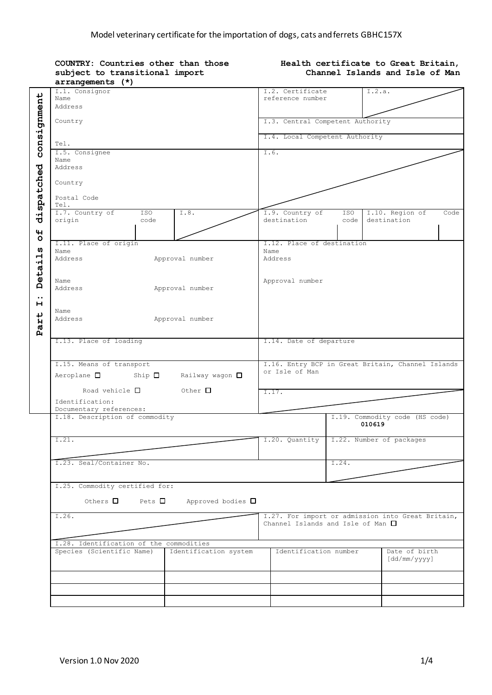|                            | COUNTRY: Countries other than those<br>subject to transitional import<br>arrangements (*)     |                                               |             | Health certificate to Great Britain,<br>Channel Islands and Isle of Man |      |  |  |  |
|----------------------------|-----------------------------------------------------------------------------------------------|-----------------------------------------------|-------------|-------------------------------------------------------------------------|------|--|--|--|
| consignment                | I.1. Consignor<br>Name<br>Address                                                             | I.2. Certificate<br>reference number          | I.2.a.      |                                                                         |      |  |  |  |
|                            | Country                                                                                       | I.3. Central Competent Authority              |             |                                                                         |      |  |  |  |
|                            | Tel.                                                                                          | I.4. Local Competent Authority                |             |                                                                         |      |  |  |  |
|                            | I.5. Consignee<br>Name<br>Address                                                             | I.6.                                          |             |                                                                         |      |  |  |  |
| dispatched                 | Country<br>Postal Code<br>Tel.                                                                |                                               |             |                                                                         |      |  |  |  |
| 4                          | I.7. Country of<br>ISO <sub>1</sub><br>I.8.<br>origin<br>code                                 | I.9. Country of<br>destination                | ISO<br>code | I.10. Region of<br>destination                                          | Code |  |  |  |
| $\circ$<br>U)<br>etail     | I.11. Place of origin<br>Name<br>Address<br>Approval number                                   | I.12. Place of destination<br>Name<br>Address |             |                                                                         |      |  |  |  |
| Ă<br>$\bullet\bullet$<br>н | Name<br>Address<br>Approval number                                                            | Approval number                               |             |                                                                         |      |  |  |  |
| Part                       | Name<br>Address<br>Approval number                                                            |                                               |             |                                                                         |      |  |  |  |
|                            | I.13. Place of loading                                                                        | I.14. Date of departure                       |             |                                                                         |      |  |  |  |
|                            | I.15. Means of transport<br>$Aeroplane$ $\Box$<br>Ship $\Box$<br>Railway wagon $\square$      | or Isle of Man                                |             | I.16. Entry BCP in Great Britain, Channel Islands                       |      |  |  |  |
|                            | Road vehicle $\square$<br>$\circ$ Other $\Box$<br>Identification:<br>Documentary references:  | I.17.                                         |             |                                                                         |      |  |  |  |
|                            | I.18. Description of commodity                                                                |                                               | 010619      | I.19. Commodity code (HS code)                                          |      |  |  |  |
|                            | I.21.                                                                                         | I.20. Quantity   I.22. Number of packages     |             |                                                                         |      |  |  |  |
|                            | I.23. Seal/Container No.                                                                      |                                               | I.24.       |                                                                         |      |  |  |  |
|                            | I.25. Commodity certified for:<br>Others $\Box$<br>Pets $\Box$<br>Approved bodies $\square$   |                                               |             |                                                                         |      |  |  |  |
|                            | I.26.                                                                                         | Channel Islands and Isle of Man $\Box$        |             | I.27. For import or admission into Great Britain,                       |      |  |  |  |
|                            | I.28. Identification of the commodities<br>Species (Scientific Name)<br>Identification system | Identification number                         |             | Date of birth<br>[dd/mm/yyyy]                                           |      |  |  |  |
|                            |                                                                                               |                                               |             |                                                                         |      |  |  |  |
|                            |                                                                                               |                                               |             |                                                                         |      |  |  |  |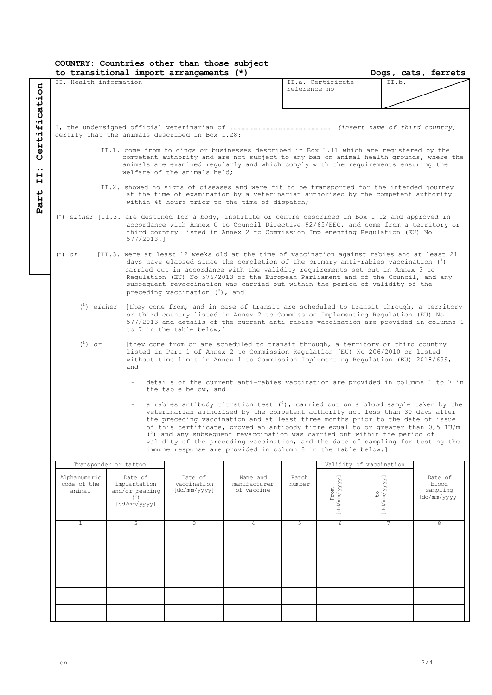## **COUNTRY: Countries other than those subject**

| to transitional import arrangements (*)                                                                                                                                                                                                                                                                                                                                                                                                                                                                                                                                         |                                                                                                                                                                                                                                                                                                          |                                                                                                                                                                                                                                                                                                                                                                                                                                                                                   |                                        | Dogs, cats, ferrets |                      |                          |                                              |
|---------------------------------------------------------------------------------------------------------------------------------------------------------------------------------------------------------------------------------------------------------------------------------------------------------------------------------------------------------------------------------------------------------------------------------------------------------------------------------------------------------------------------------------------------------------------------------|----------------------------------------------------------------------------------------------------------------------------------------------------------------------------------------------------------------------------------------------------------------------------------------------------------|-----------------------------------------------------------------------------------------------------------------------------------------------------------------------------------------------------------------------------------------------------------------------------------------------------------------------------------------------------------------------------------------------------------------------------------------------------------------------------------|----------------------------------------|---------------------|----------------------|--------------------------|----------------------------------------------|
| II. Health information                                                                                                                                                                                                                                                                                                                                                                                                                                                                                                                                                          |                                                                                                                                                                                                                                                                                                          |                                                                                                                                                                                                                                                                                                                                                                                                                                                                                   |                                        | reference no        | II.a. Certificate    | II.b.                    |                                              |
|                                                                                                                                                                                                                                                                                                                                                                                                                                                                                                                                                                                 |                                                                                                                                                                                                                                                                                                          | certify that the animals described in Box 1.28:                                                                                                                                                                                                                                                                                                                                                                                                                                   |                                        |                     |                      |                          |                                              |
|                                                                                                                                                                                                                                                                                                                                                                                                                                                                                                                                                                                 | II.1. come from holdings or businesses described in Box 1.11 which are registered by the<br>competent authority and are not subject to any ban on animal health grounds, where the<br>animals are examined regularly and which comply with the requirements ensuring the<br>welfare of the animals held; |                                                                                                                                                                                                                                                                                                                                                                                                                                                                                   |                                        |                     |                      |                          |                                              |
|                                                                                                                                                                                                                                                                                                                                                                                                                                                                                                                                                                                 |                                                                                                                                                                                                                                                                                                          | II.2. showed no signs of diseases and were fit to be transported for the intended journey<br>at the time of examination by a veterinarian authorised by the competent authority<br>within 48 hours prior to the time of dispatch;                                                                                                                                                                                                                                                 |                                        |                     |                      |                          |                                              |
|                                                                                                                                                                                                                                                                                                                                                                                                                                                                                                                                                                                 | $577/2013.$ ]                                                                                                                                                                                                                                                                                            | $\binom{1}{1}$ either [II.3. are destined for a body, institute or centre described in Box 1.12 and approved in<br>accordance with Annex C to Council Directive 92/65/EEC, and come from a territory or<br>third country listed in Annex 2 to Commission Implementing Regulation (EU) No                                                                                                                                                                                          |                                        |                     |                      |                          |                                              |
| $\binom{1}{1}$ or                                                                                                                                                                                                                                                                                                                                                                                                                                                                                                                                                               |                                                                                                                                                                                                                                                                                                          | [II.3. were at least 12 weeks old at the time of vaccination against rabies and at least 21<br>days have elapsed since the completion of the primary anti-rabies vaccination $(^2)$<br>carried out in accordance with the validity requirements set out in Annex 3 to<br>Regulation (EU) No 576/2013 of the European Parliament and of the Council, and any<br>subsequent revaccination was carried out within the period of validity of the<br>preceding vaccination $(3)$ , and |                                        |                     |                      |                          |                                              |
|                                                                                                                                                                                                                                                                                                                                                                                                                                                                                                                                                                                 |                                                                                                                                                                                                                                                                                                          | $\binom{1}{1}$ either [they come from, and in case of transit are scheduled to transit through, a territory<br>or third country listed in Annex 2 to Commission Implementing Regulation (EU) No<br>577/2013 and details of the current anti-rabies vaccination are provided in columns 1<br>to 7 in the table below; 1                                                                                                                                                            |                                        |                     |                      |                          |                                              |
| $\binom{1}{1}$ or<br>[they come from or are scheduled to transit through, a territory or third country<br>listed in Part 1 of Annex 2 to Commission Regulation (EU) No 206/2010 or listed<br>without time limit in Annex 1 to Commission Implementing Regulation (EU) 2018/659,<br>and                                                                                                                                                                                                                                                                                          |                                                                                                                                                                                                                                                                                                          |                                                                                                                                                                                                                                                                                                                                                                                                                                                                                   |                                        |                     |                      |                          |                                              |
|                                                                                                                                                                                                                                                                                                                                                                                                                                                                                                                                                                                 |                                                                                                                                                                                                                                                                                                          | details of the current anti-rabies vaccination are provided in columns 1 to 7 in<br>the table below, and                                                                                                                                                                                                                                                                                                                                                                          |                                        |                     |                      |                          |                                              |
| a rabies antibody titration test $(1)$ , carried out on a blood sample taken by the<br>veterinarian authorised by the competent authority not less than 30 days after<br>the preceding vaccination and at least three months prior to the date of issue<br>of this certificate, proved an antibody titre equal to or greater than 0,5 IU/ml<br>$(5)$ and any subsequent revaccination was carried out within the period of<br>validity of the preceding vaccination, and the date of sampling for testing the<br>immune response are provided in column 8 in the table below: ] |                                                                                                                                                                                                                                                                                                          |                                                                                                                                                                                                                                                                                                                                                                                                                                                                                   |                                        |                     |                      |                          |                                              |
|                                                                                                                                                                                                                                                                                                                                                                                                                                                                                                                                                                                 | Transponder or tattoo                                                                                                                                                                                                                                                                                    |                                                                                                                                                                                                                                                                                                                                                                                                                                                                                   |                                        |                     |                      | Validity of vaccination  |                                              |
| Alphanumeric<br>code of the<br>animal                                                                                                                                                                                                                                                                                                                                                                                                                                                                                                                                           | Date of<br>implantation<br>and/or reading<br>$(\degree)$<br>[dd/mm/yyyy]                                                                                                                                                                                                                                 | Date of<br>vaccination<br>[dd/mm/yyyy]                                                                                                                                                                                                                                                                                                                                                                                                                                            | Name and<br>manufacturer<br>of vaccine | Batch<br>number     | [dd/mm/yyyy]<br>From | [dd/mm/yyyy]<br><b>C</b> | Date of<br>blood<br>sampling<br>[dd/mm/yyyy] |
| 1                                                                                                                                                                                                                                                                                                                                                                                                                                                                                                                                                                               | 2                                                                                                                                                                                                                                                                                                        | 3                                                                                                                                                                                                                                                                                                                                                                                                                                                                                 | 4                                      | 5                   | 6                    |                          | 8                                            |
|                                                                                                                                                                                                                                                                                                                                                                                                                                                                                                                                                                                 |                                                                                                                                                                                                                                                                                                          |                                                                                                                                                                                                                                                                                                                                                                                                                                                                                   |                                        |                     |                      |                          |                                              |
|                                                                                                                                                                                                                                                                                                                                                                                                                                                                                                                                                                                 |                                                                                                                                                                                                                                                                                                          |                                                                                                                                                                                                                                                                                                                                                                                                                                                                                   |                                        |                     |                      |                          |                                              |
|                                                                                                                                                                                                                                                                                                                                                                                                                                                                                                                                                                                 |                                                                                                                                                                                                                                                                                                          |                                                                                                                                                                                                                                                                                                                                                                                                                                                                                   |                                        |                     |                      |                          |                                              |
|                                                                                                                                                                                                                                                                                                                                                                                                                                                                                                                                                                                 |                                                                                                                                                                                                                                                                                                          |                                                                                                                                                                                                                                                                                                                                                                                                                                                                                   |                                        |                     |                      |                          |                                              |
|                                                                                                                                                                                                                                                                                                                                                                                                                                                                                                                                                                                 |                                                                                                                                                                                                                                                                                                          |                                                                                                                                                                                                                                                                                                                                                                                                                                                                                   |                                        |                     |                      |                          |                                              |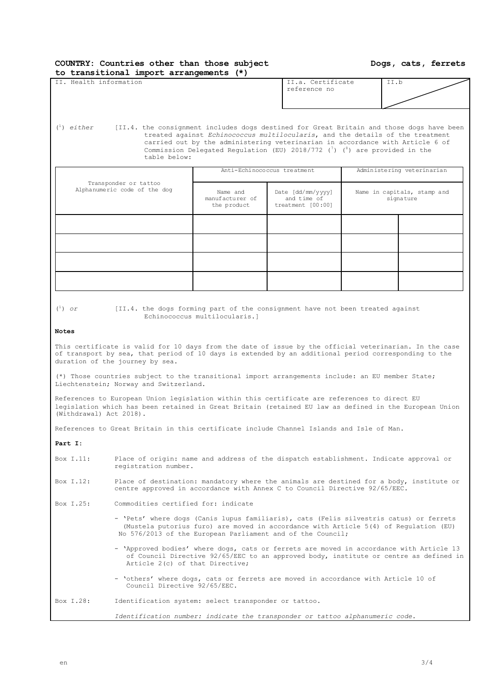| COUNTRY: Countries other than those subject |  |  |
|---------------------------------------------|--|--|
| to transitional import arrangements (*)     |  |  |

**Dogs, cats, ferrets**

|  | II. Health information | 'II.a. Certificate |
|--|------------------------|--------------------|
|  |                        | reference no       |

| II.a. Certificate |  |
|-------------------|--|
| reference no      |  |
|                   |  |
|                   |  |

 $\ell^1$ ) either <sup>1</sup>) *either* [II.4. the consignment includes dogs destined for Great Britain and those dogs have been treated against *Echinococcus multilocularis*, and the details of the treatment carried out by the administering veterinarian in accordance with Article 6 of Commission Delegated Regulation (EU) 2018/772  $(7)$  (8) are provided in the table below:

|                                                       |                                            | Anti-Echinococcus treatment                           | Administering veterinarian |                                          |  |
|-------------------------------------------------------|--------------------------------------------|-------------------------------------------------------|----------------------------|------------------------------------------|--|
| Transponder or tattoo<br>Alphanumeric code of the dog | Name and<br>manufacturer of<br>the product | Date [dd/mm/yyyy]<br>and time of<br>treatment [00:00] |                            | Name in capitals, stamp and<br>signature |  |
|                                                       |                                            |                                                       |                            |                                          |  |
|                                                       |                                            |                                                       |                            |                                          |  |
|                                                       |                                            |                                                       |                            |                                          |  |
|                                                       |                                            |                                                       |                            |                                          |  |

 $\binom{1}{1}$  or

<sup>1</sup>) *or* [II.4. the dogs forming part of the consignment have not been treated against Echinococcus multilocularis.]

## **Notes**

This certificate is valid for 10 days from the date of issue by the official veterinarian. In the case of transport by sea, that period of 10 days is extended by an additional period corresponding to the duration of the journey by sea.

(\*) Those countries subject to the transitional import arrangements include: an EU member State; Liechtenstein; Norway and Switzerland.

References to European Union legislation within this certificate are references to direct EU legislation which has been retained in Great Britain (retained EU law as defined in the European Union (Withdrawal) Act 2018).

References to Great Britain in this certificate include Channel Islands and Isle of Man.

**Part I:**

- Box I.11: Place of origin: name and address of the dispatch establishment. Indicate approval or registration number.
- Box I.12: Place of destination: mandatory where the animals are destined for a body, institute or centre approved in accordance with Annex C to Council Directive 92/65/EEC.

Box I.25: Commodities certified for: indicate

- 'Pets' where dogs (Canis lupus familiaris), cats (Felis silvestris catus) or ferrets (Mustela putorius furo) are moved in accordance with Article 5(4) of Regulation (EU) No 576/2013 of the European Parliament and of the Council;
- 'Approved bodies' where dogs, cats or ferrets are moved in accordance with Article 13 of Council Directive 92/65/EEC to an approved body, institute or centre as defined in Article 2(c) of that Directive;
- 'others' where dogs, cats or ferrets are moved in accordance with Article 10 of Council Directive 92/65/EEC.

Box I.28: Identification system: select transponder or tattoo.

*Identification number: indicate the transponder or tattoo alphanumeric code.*